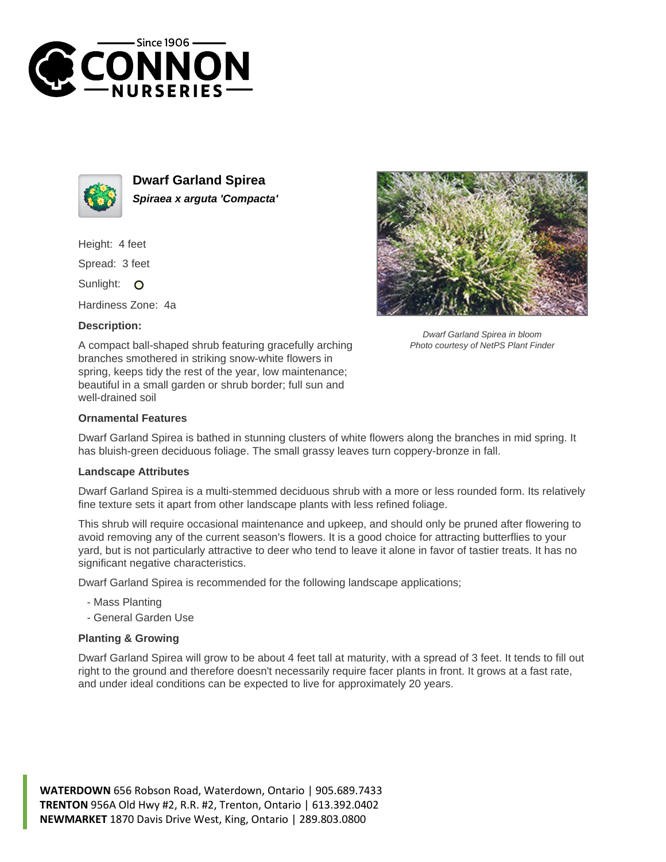



**Dwarf Garland Spirea Spiraea x arguta 'Compacta'**

Height: 4 feet

Spread: 3 feet

Sunlight: O

Hardiness Zone: 4a

## **Description:**



## **Ornamental Features**

Dwarf Garland Spirea is bathed in stunning clusters of white flowers along the branches in mid spring. It has bluish-green deciduous foliage. The small grassy leaves turn coppery-bronze in fall.

## **Landscape Attributes**

Dwarf Garland Spirea is a multi-stemmed deciduous shrub with a more or less rounded form. Its relatively fine texture sets it apart from other landscape plants with less refined foliage.

This shrub will require occasional maintenance and upkeep, and should only be pruned after flowering to avoid removing any of the current season's flowers. It is a good choice for attracting butterflies to your yard, but is not particularly attractive to deer who tend to leave it alone in favor of tastier treats. It has no significant negative characteristics.

Dwarf Garland Spirea is recommended for the following landscape applications;

- Mass Planting
- General Garden Use

## **Planting & Growing**

Dwarf Garland Spirea will grow to be about 4 feet tall at maturity, with a spread of 3 feet. It tends to fill out right to the ground and therefore doesn't necessarily require facer plants in front. It grows at a fast rate, and under ideal conditions can be expected to live for approximately 20 years.





Dwarf Garland Spirea in bloom Photo courtesy of NetPS Plant Finder